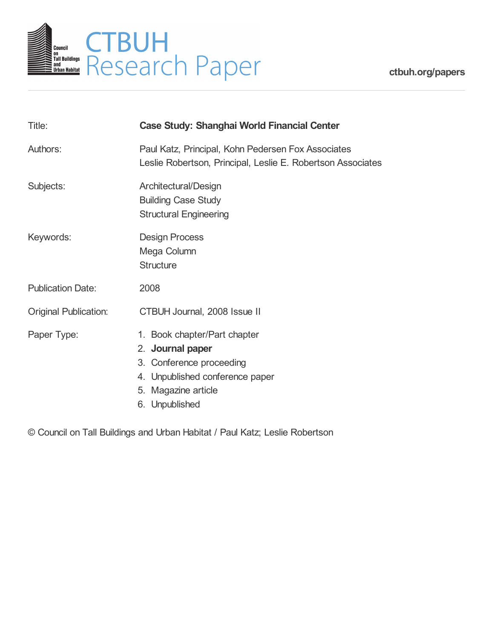

**[ctbuh.org/papers](http://ctbuh.org/papers)**

| Title:                       | <b>Case Study: Shanghai World Financial Center</b>                                                                                                       |
|------------------------------|----------------------------------------------------------------------------------------------------------------------------------------------------------|
| Authors:                     | Paul Katz, Principal, Kohn Pedersen Fox Associates<br>Leslie Robertson, Principal, Leslie E. Robertson Associates                                        |
| Subjects:                    | Architectural/Design<br><b>Building Case Study</b><br><b>Structural Engineering</b>                                                                      |
| Keywords:                    | <b>Design Process</b><br>Mega Column<br><b>Structure</b>                                                                                                 |
| <b>Publication Date:</b>     | 2008                                                                                                                                                     |
| <b>Original Publication:</b> | CTBUH Journal, 2008 Issue II                                                                                                                             |
| Paper Type:                  | 1. Book chapter/Part chapter<br>2. Journal paper<br>3. Conference proceeding<br>4. Unpublished conference paper<br>5. Magazine article<br>6. Unpublished |

© Council on Tall Buildings and Urban Habitat / Paul Katz; Leslie Robertson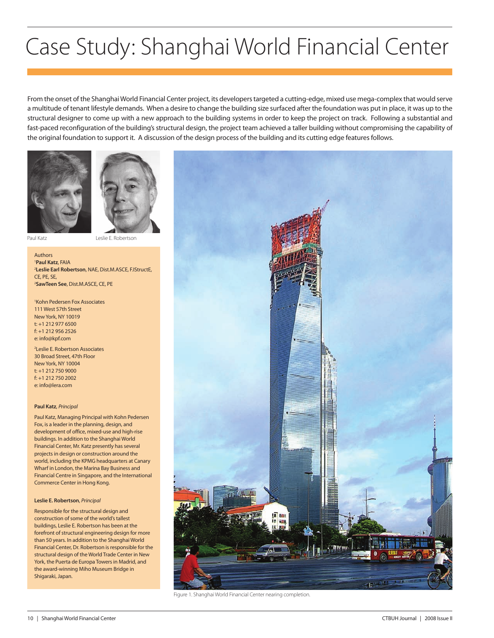# Case Study: Shanghai World Financial Center

From the onset of the Shanghai World Financial Center project, its developers targeted a cutting-edge, mixed use mega-complex that would serve a multitude of tenant lifestyle demands. When a desire to change the building size surfaced after the foundation was put in place, it was up to the structural designer to come up with a new approach to the building systems in order to keep the project on track. Following a substantial and fast-paced reconfiguration of the building's structural design, the project team achieved a taller building without compromising the capability of the original foundation to support it. A discussion of the design process of the building and its cutting edge features follows.





Paul Katz Leslie E. Robertson

Authors <sup>1</sup>Paul Katz, FAIA <sup>1</sup>**Paul Katz**, FAIA<br><sup>2</sup>**Leslie Earl Robertson**, NAE, Dist.M.ASCE, F.IStructE, CE, PE, SE, 2 **SawTeen See**, Dist.M.ASCE, CE, PE

1 Kohn Pedersen Fox Associates 111 West 57th Street New York, NY 10019 t: +1 212 977 6500 f: +1 212 956 2526 e: info@kpf.com

2 Leslie E. Robertson Associates 30 Broad Street, 47th Floor New York, NY 10004  $t: +1$  212 750 9000 f: +1 212 750 2002 e: info@lera.com

#### **Paul Katz**, *Principal*

Paul Katz, Managing Principal with Kohn Pedersen Fox, is a leader in the planning, design, and development of office, mixed-use and high-rise buildings. In addition to the Shanghai World Financial Center, Mr. Katz presently has several projects in design or construction around the world, including the KPMG headquarters at Canary Wharf in London, the Marina Bay Business and Financial Centre in Singapore, and the International Commerce Center in Hong Kong.

#### **Leslie E. Robertson**, *Principal*

Responsible for the structural design and construction of some of the world's tallest buildings, Leslie E. Robertson has been at the forefront of structural engineering design for more than 50 years. In addition to the Shanghai World Financial Center, Dr. Robertson is responsible for the structural design of the World Trade Center in New York, the Puerta de Europa Towers in Madrid, and the award-winning Miho Museum Bridge in Shigaraki, Japan.



Figure 1. Shanghai World Financial Center nearing completion.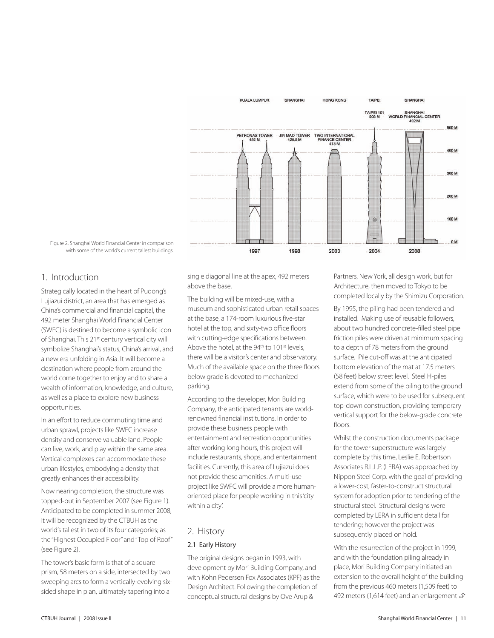

Figure 2. Shanghai World Financial Center in comparison with some of the world's current tallest buildings.

# 1. Introduction

Strategically located in the heart of Pudong's Lujiazui district, an area that has emerged as China's commercial and financial capital, the 492 meter Shanghai World Financial Center (SWFC) is destined to become a symbolic icon of Shanghai. This 21<sup>st</sup> century vertical city will symbolize Shanghai's status, China's arrival, and a new era unfolding in Asia. It will become a destination where people from around the world come together to enjoy and to share a wealth of information, knowledge, and culture, as well as a place to explore new business opportunities.

In an effort to reduce commuting time and urban sprawl, projects like SWFC increase density and conserve valuable land. People can live, work, and play within the same area. Vertical complexes can accommodate these urban lifestyles, embodying a density that greatly enhances their accessibility.

Now nearing completion, the structure was topped-out in September 2007 (see Figure 1). Anticipated to be completed in summer 2008, it will be recognized by the CTBUH as the world's tallest in two of its four categories; as the "Highest Occupied Floor" and "Top of Roof" (see Figure 2).

The tower's basic form is that of a square prism, 58 meters on a side, intersected by two sweeping arcs to form a vertically-evolving sixsided shape in plan, ultimately tapering into a

single diagonal line at the apex, 492 meters above the base.

The building will be mixed-use, with a museum and sophisticated urban retail spaces at the base, a 174-room luxurious five-star hotel at the top, and sixty-two office floors with cutting-edge specifications between. Above the hotel, at the 94<sup>th</sup> to 101<sup>st</sup> levels. there will be a visitor's center and observatory. Much of the available space on the three floors below grade is devoted to mechanized parking.

According to the developer, Mori Building Company, the anticipated tenants are worldrenowned financial institutions. In order to provide these business people with entertainment and recreation opportunities after working long hours, this project will include restaurants, shops, and entertainment facilities. Currently, this area of Lujiazui does not provide these amenities. A multi-use project like SWFC will provide a more humanoriented place for people working in this 'city within a city'.

# 2. History

## 2.1 Early History

The original designs began in 1993, with development by Mori Building Company, and with Kohn Pedersen Fox Associates (KPF) as the Design Architect. Following the completion of conceptual structural designs by Ove Arup &

Partners, New York, all design work, but for Architecture, then moved to Tokyo to be completed locally by the Shimizu Corporation.

By 1995, the piling had been tendered and installed. Making use of reusable followers, about two hundred concrete-filled steel pipe friction piles were driven at minimum spacing to a depth of 78 meters from the ground surface. Pile cut-off was at the anticipated bottom elevation of the mat at 17.5 meters (58 feet) below street level. Steel H-piles extend from some of the piling to the ground surface, which were to be used for subsequent top-down construction, providing temporary vertical support for the below-grade concrete floors.

Whilst the construction documents package for the tower superstructure was largely complete by this time, Leslie E. Robertson Associates R.L.L.P. (LERA) was approached by Nippon Steel Corp. with the goal of providing a lower-cost, faster-to-construct structural system for adoption prior to tendering of the structural steel. Structural designs were completed by LERA in sufficient detail for tendering; however the project was subsequently placed on hold.

With the resurrection of the project in 1999, and with the foundation piling already in place, Mori Building Company initiated an extension to the overall height of the building from the previous 460 meters (1,509 feet) to 492 meters (1,614 feet) and an enlargement  $\mathcal{D}$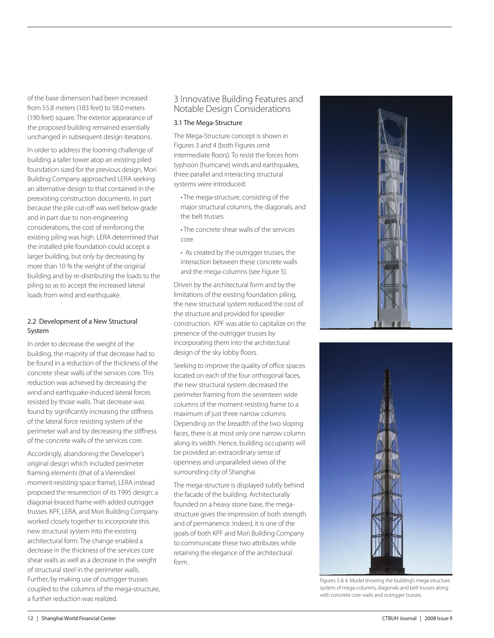of the base dimension had been increased from 55.8 meters (183 feet) to 58.0 meters (190 feet) square. The exterior appearance of the proposed building remained essentially unchanged in subsequent design iterations.

In order to address the looming challenge of building a taller tower atop an existing piled foundation sized for the previous design, Mori Building Company approached LERA seeking an alternative design to that contained in the preexisting construction documents. In part because the pile cut-off was well below grade and in part due to non-engineering considerations, the cost of reinforcing the existing piling was high. LERA determined that the installed pile foundation could accept a larger building, but only by decreasing by more than 10 % the weight of the original building and by re-distributing the loads to the piling so as to accept the increased lateral loads from wind and earthquake.

## 2.2 Development of a New Structural System

In order to decrease the weight of the building, the majority of that decrease had to be found in a reduction of the thickness of the concrete shear walls of the services core. This reduction was achieved by decreasing the wind and earthquake-induced lateral forces resisted by those walls. That decrease was found by significantly increasing the stiffness of the lateral force resisting system of the perimeter wall and by decreasing the stiffness of the concrete walls of the services core.

Accordingly, abandoning the Developer's original design which included perimeter framing elements (that of a Vierendeel moment-resisting space frame), LERA instead proposed the resurrection of its 1995 design: a diagonal-braced frame with added outrigger trusses. KPF, LERA, and Mori Building Company worked closely together to incorporate this new structural system into the existing architectural form. The change enabled a decrease in the thickness of the services core shear walls as well as a decrease in the weight of structural steel in the perimeter walls. Further, by making use of outrigger trusses coupled to the columns of the mega-structure, a further reduction was realized.

# 3 Innovative Building Features and Notable Design Considerations

## 3.1 The Mega-Structure

The Mega-Structure concept is shown in Figures 3 and 4 (both Figures omit intermediate floors). To resist the forces from typhoon (hurricane) winds and earthquakes, three parallel and interacting structural systems were introduced:

- The mega-structure, consisting of the major structural columns, the diagonals, and the belt trusses.
- The concrete shear walls of the services core.
- As created by the outrigger trusses, the interaction between these concrete walls and the mega-columns (see Figure 5).

Driven by the architectural form and by the limitations of the existing foundation piling, the new structural system reduced the cost of the structure and provided for speedier construction. KPF was able to capitalize on the presence of the outrigger trusses by incorporating them into the architectural design of the sky lobby floors.

Seeking to improve the quality of office spaces located on each of the four orthogonal faces, the new structural system decreased the perimeter framing from the seventeen wide columns of the moment-resisting frame to a maximum of just three narrow columns. Depending on the breadth of the two sloping faces, there is at most only one narrow column along its width. Hence, building occupants will be provided an extraordinary sense of openness and unparalleled views of the surrounding city of Shanghai.

The mega-structure is displayed subtly behind the facade of the building. Architecturally founded on a heavy stone base, the megastructure gives the impression of both strength and of permanence. Indeed, it is one of the goals of both KPF and Mori Building Company to communicate these two attributes while retaining the elegance of the architectural form.





Figures 3 & 4. Model showing the building's mega-structure system of mega-columns, diagonals and belt trusses along with concrete core walls and outrigger trusses.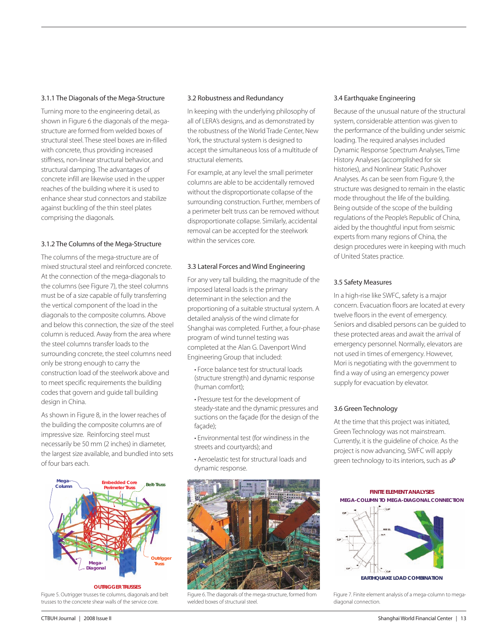#### 3.1.1 The Diagonals of the Mega-Structure

Turning more to the engineering detail, as shown in Figure 6 the diagonals of the megastructure are formed from welded boxes of structural steel. These steel boxes are in-filled with concrete, thus providing increased stiffness, non-linear structural behavior, and structural damping. The advantages of concrete infill are likewise used in the upper reaches of the building where it is used to enhance shear stud connectors and stabilize against buckling of the thin steel plates comprising the diagonals.

### 3.1.2 The Columns of the Mega-Structure

The columns of the mega-structure are of mixed structural steel and reinforced concrete. At the connection of the mega-diagonals to the columns (see Figure 7), the steel columns must be of a size capable of fully transferring the vertical component of the load in the diagonals to the composite columns. Above and below this connection, the size of the steel column is reduced. Away from the area where the steel columns transfer loads to the surrounding concrete, the steel columns need only be strong enough to carry the construction load of the steelwork above and to meet specific requirements the building codes that govern and guide tall building design in China.

As shown in Figure 8, in the lower reaches of the building the composite columns are of impressive size. Reinforcing steel must necessarily be 50 mm (2 inches) in diameter, the largest size available, and bundled into sets of four bars each.



Figure 5. Outrigger trusses tie columns, diagonals and belt trusses to the concrete shear walls of the service core. **OUTRIGGER TRUSSES**

#### 3.2 Robustness and Redundancy

In keeping with the underlying philosophy of all of LERA's designs, and as demonstrated by the robustness of the World Trade Center, New York, the structural system is designed to accept the simultaneous loss of a multitude of structural elements.

For example, at any level the small perimeter columns are able to be accidentally removed without the disproportionate collapse of the surrounding construction. Further, members of a perimeter belt truss can be removed without disproportionate collapse. Similarly, accidental removal can be accepted for the steelwork within the services core.

### 3.3 Lateral Forces and Wind Engineering

For any very tall building, the magnitude of the imposed lateral loads is the primary determinant in the selection and the proportioning of a suitable structural system. A detailed analysis of the wind climate for Shanghai was completed. Further, a four-phase program of wind tunnel testing was completed at the Alan G. Davenport Wind Engineering Group that included:

- Force balance test for structural loads (structure strength) and dynamic response (human comfort);
- Pressure test for the development of steady-state and the dynamic pressures and suctions on the façade (for the design of the façade);
- Environmental test (for windiness in the streets and courtyards); and
- Aeroelastic test for structural loads and dynamic response.



Figure 6. The diagonals of the mega-structure, formed from welded boxes of structural steel.

### 3.4 Earthquake Engineering

Because of the unusual nature of the structural system, considerable attention was given to the performance of the building under seismic loading. The required analyses included Dynamic Response Spectrum Analyses, Time History Analyses (accomplished for six histories), and Nonlinear Static Pushover Analyses. As can be seen from Figure 9, the structure was designed to remain in the elastic mode throughout the life of the building. Being outside of the scope of the building regulations of the People's Republic of China, aided by the thoughtful input from seismic experts from many regions of China, the design procedures were in keeping with much of United States practice.

### 3.5 Safety Measures

In a high-rise like SWFC, safety is a major concern. Evacuation floors are located at every twelve floors in the event of emergency. Seniors and disabled persons can be guided to these protected areas and await the arrival of emergency personnel. Normally, elevators are not used in times of emergency. However, Mori is negotiating with the government to find a way of using an emergency power supply for evacuation by elevator.

#### 3.6 Green Technology

At the time that this project was initiated, Green Technology was not mainstream. Currently, it is the guideline of choice. As the project is now advancing, SWFC will apply green technology to its interiors, such as  $\hat{\mathfrak{p}}$ 

**FINITE ELEMENT ANALYSES MEGA-COLUMN TO MEGA-DIAGONAL CONNECTION**



Figure 7. Finite element analysis of a mega-column to megadiagonal connection.